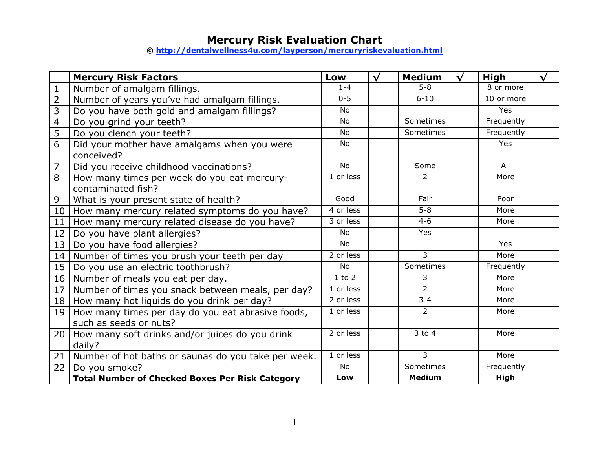# **Mercury Risk Evaluation Chart**

**© http://dentalwellness4u.com/layperson/mercuryriskevaluation.html**

|                 | <b>Mercury Risk Factors</b>                            | Low        | $\sqrt{ }$ | <b>Medium</b>  | $\sqrt{ }$ | High        | √ |
|-----------------|--------------------------------------------------------|------------|------------|----------------|------------|-------------|---|
| $\mathbf{1}$    | Number of amalgam fillings.                            | $1 - 4$    |            | $5 - 8$        |            | 8 or more   |   |
| $\overline{2}$  | Number of years you've had amalgam fillings.           | $0 - 5$    |            | $6 - 10$       |            | 10 or more  |   |
| $\overline{3}$  | Do you have both gold and amalgam fillings?            | <b>No</b>  |            |                |            | Yes         |   |
| $\overline{4}$  | Do you grind your teeth?                               | <b>No</b>  |            | Sometimes      |            | Frequently  |   |
| $\overline{5}$  | Do you clench your teeth?                              | <b>No</b>  |            | Sometimes      |            | Frequently  |   |
| 6               | Did your mother have amalgams when you were            | No         |            |                |            | Yes         |   |
|                 | conceived?                                             |            |            |                |            |             |   |
| $\overline{7}$  | Did you receive childhood vaccinations?                | <b>No</b>  |            | Some           |            | All         |   |
| $\overline{8}$  | How many times per week do you eat mercury-            | 1 or less  |            | $\overline{2}$ |            | More        |   |
|                 | contaminated fish?                                     |            |            |                |            |             |   |
| 9               | What is your present state of health?                  | Good       |            | Fair           |            | Poor        |   |
| 10 <sub>1</sub> | How many mercury related symptoms do you have?         | 4 or less  |            | $5-8$          |            | More        |   |
| 11              | How many mercury related disease do you have?          | 3 or less  |            | $4 - 6$        |            | More        |   |
| 12              | Do you have plant allergies?                           | <b>No</b>  |            | Yes            |            |             |   |
| 13 <sup>1</sup> | Do you have food allergies?                            | <b>No</b>  |            |                |            | <b>Yes</b>  |   |
| 14              | Number of times you brush your teeth per day           | 2 or less  |            | $\overline{3}$ |            | More        |   |
| 15              | Do you use an electric toothbrush?                     | <b>No</b>  |            | Sometimes      |            | Frequently  |   |
| 16 <sup>1</sup> | Number of meals you eat per day.                       | $1$ to $2$ |            | 3              |            | More        |   |
| 17 <sub>2</sub> | Number of times you snack between meals, per day?      | 1 or less  |            | $\overline{2}$ |            | More        |   |
| 18 <sup>1</sup> | How many hot liquids do you drink per day?             | 2 or less  |            | $3 - 4$        |            | More        |   |
| 19              | How many times per day do you eat abrasive foods,      | 1 or less  |            | $\overline{2}$ |            | More        |   |
|                 | such as seeds or nuts?                                 |            |            |                |            |             |   |
| 20 <sub>1</sub> | How many soft drinks and/or juices do you drink        | 2 or less  |            | $3$ to $4$     |            | More        |   |
|                 | daily?                                                 |            |            |                |            |             |   |
| 21              | Number of hot baths or saunas do you take per week.    | 1 or less  |            | $\overline{3}$ |            | More        |   |
| 22              | Do you smoke?                                          | <b>No</b>  |            | Sometimes      |            | Frequently  |   |
|                 | <b>Total Number of Checked Boxes Per Risk Category</b> | Low        |            | <b>Medium</b>  |            | <b>High</b> |   |